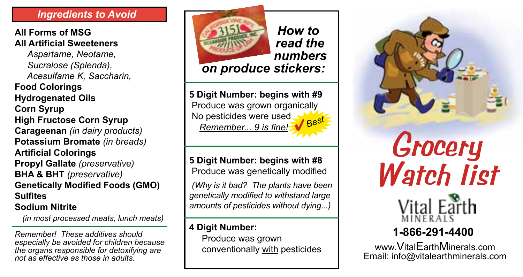## *Ingredients to Avoid*

## **All Forms of MSG All Artificial Sweeteners**

 *Aspartame, Neotame, Sucralose (Splenda), Acesulfame K, Saccharin,*  **Food Colorings Hydrogenated Oils Corn Syrup High Fructose Corn Syrup Carageenan** *(in dairy products)* **Potassium Bromate** *(in breads)* **Artificial Colorings Propyl Gallate** *(preservative)* **BHA & BHT** *(preservative)* **Genetically Modified Foods (GMO) Sulfites Sodium Nitrite**

*(in most processed meats, lunch meats)*

*Remember! These additives should especially be avoided for children because the organs responsible for detoxifying are not as effective as those in adults.* 



**5 Digit Number: begins with #9** *read the numbers on produce stickers:*

*How to* 

 Produce was grown organically No pesticides were used *Remember... 9 is fine!* 4*Best*

**5 Digit Number: begins with #8** Produce was genetically modified

*(Why is it bad? The plants have been genetically modified to withstand large amounts of pesticides without dying...)*

# **4 Digit Number:**

 Produce was grown conventionally with pesticides



# *Grocery Watch list*



# **1-866-291-4400**

www.VitalEarthMinerals.com Email: info@vitalearthminerals.com